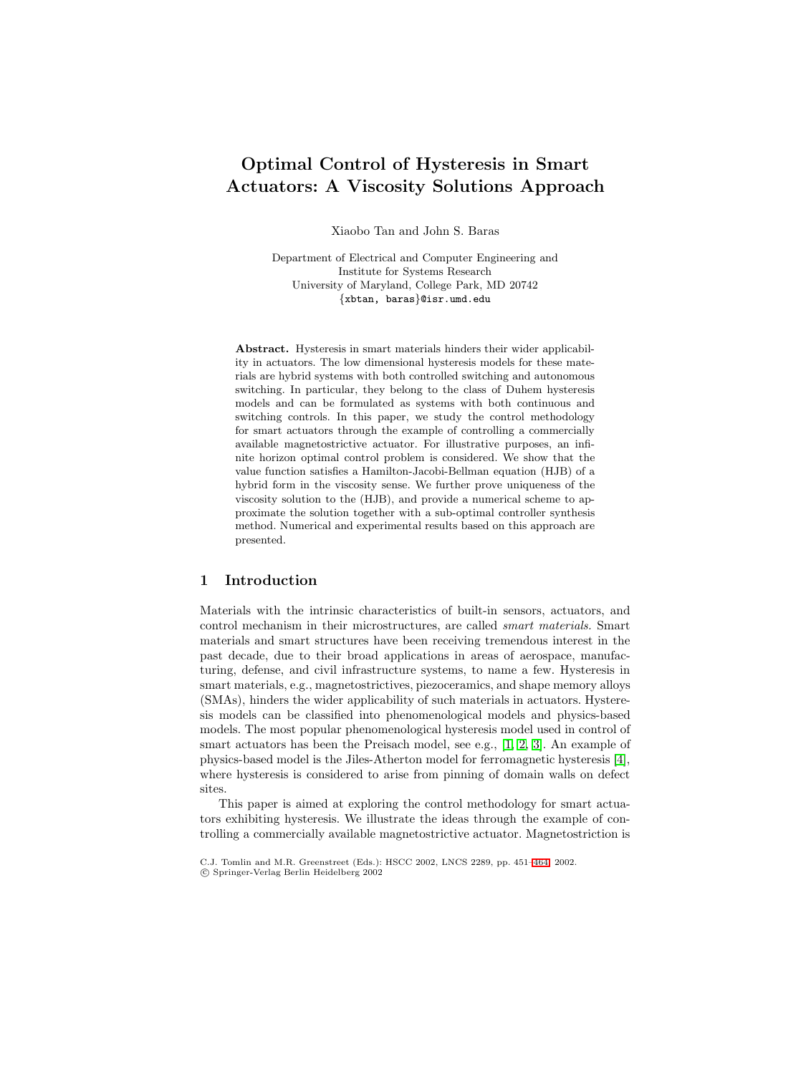# **Optimal Control of Hysteresis in Smart Actuators: A Viscosity Solutions Approach**

Xiaobo Tan and John S. Baras

Department of Electrical and Computer Engineering and Institute for Systems Research University of Maryland, College Park, MD 20742 *{*xbtan, baras*}*@isr.umd.edu

**Abstract.** Hysteresis in smart materials hinders their wider applicability in actuators. The low dimensional hysteresis models for these materials are hybrid systems with both controlled switching and autonomous switching. In particular, they belong to the class of Duhem hysteresis models and can be formulated as systems with both continuous and switching controls. In this paper, we study the control methodology for smart actuators through the example of controlling a commercially available magnetostrictive actuator. For illustrative purposes, an infinite horizon optimal control problem is considered. We show that the value function satisfies a Hamilton-Jacobi-Bellman equation (HJB) of a hybrid form in the viscosity sense. We further prove uniqueness of the viscosity solution to the (HJB), and provide a numerical scheme to approximate the solution together with a sub-optimal controller synthesis method. Numerical and experimental results based on this approach are presented.

### **1 Introduction**

Materials with the intrinsic characteristics of built-in sensors, actuators, and control mechanism in their microstructures, are called *smart materials.* Smart materials and smart structures have been receiving tremendous interest in the past decade, due to their broad applications in areas of aerospace, manufacturing, defense, and civil infrastructure systems, to name a few. Hysteresis in smart materials, e.g., magnetostrictives, piezoceramics, and shape memory alloys (SMAs), hinders the wider applicability of such materials in actuators. Hysteresis models can be classified into phenomenological models and physics-based models. The most popular phenomenological hysteresis model used in control of smart actuators has been the Preisach model, see e.g., [\[1,](#page-12-0) [2,](#page-12-1) [3\]](#page-12-2). An example of physics-based model is the Jiles-Atherton model for ferromagnetic hysteresis [\[4\]](#page-12-3), where hysteresis is considered to arise from pinning of domain walls on defect sites.

This paper is aimed at exploring the control methodology for smart actuators exhibiting hysteresis. We illustrate the ideas through the example of controlling a commercially available magnetostrictive actuator. Magnetostriction is

C.J. Tomlin and M.R. Greenstreet (Eds.): HSCC 2002, LNCS 2289, pp. 451[–464,](#page-13-0) 2002.

c Springer-Verlag Berlin Heidelberg 2002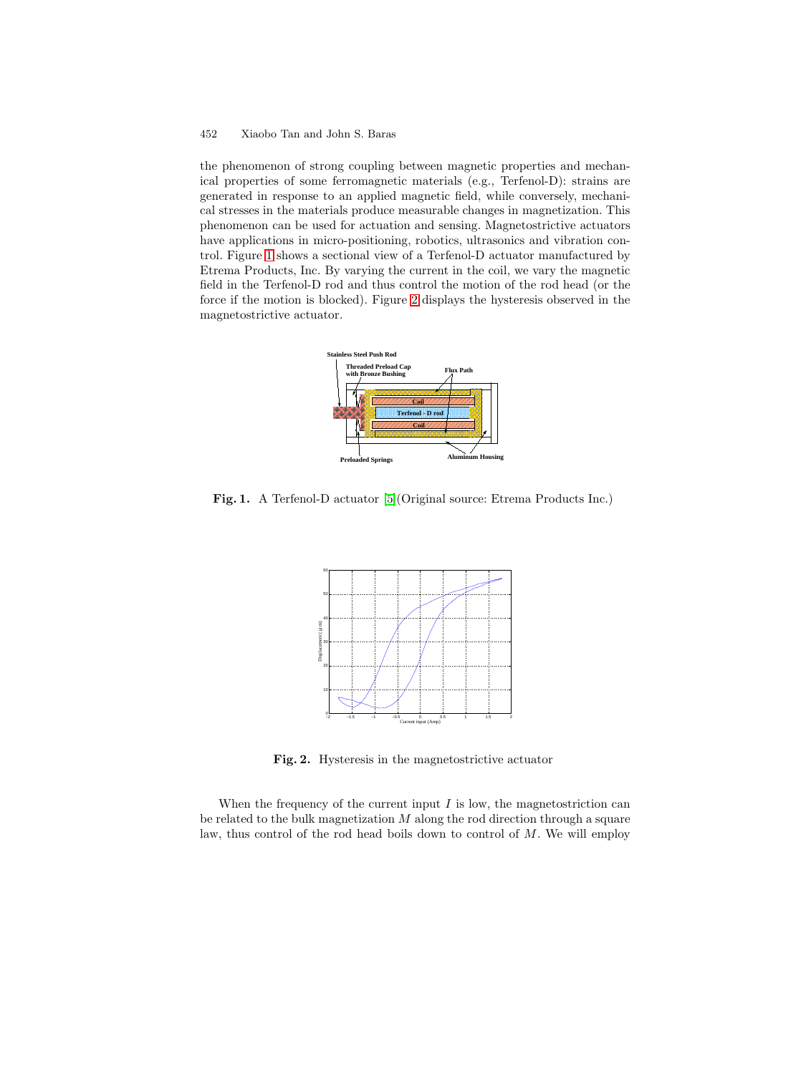the phenomenon of strong coupling between magnetic properties and mechanical properties of some ferromagnetic materials (e.g., Terfenol-D): strains are generated in response to an applied magnetic field, while conversely, mechanical stresses in the materials produce measurable changes in magnetization. This phenomenon can be used for actuation and sensing. Magnetostrictive actuators have applications in micro-positioning, robotics, ultrasonics and vibration control. Figure [1](#page-1-0) shows a sectional view of a Terfenol-D actuator manufactured by Etrema Products, Inc. By varying the current in the coil, we vary the magnetic field in the Terfenol-D rod and thus control the motion of the rod head (or the force if the motion is blocked). Figure [2](#page-1-1) displays the hysteresis observed in the magnetostrictive actuator.



<span id="page-1-0"></span>Fig. 1. A Terfenol-D actuator [\[5\]](#page-13-1) (Original source: Etrema Products Inc.)



**Fig. 2.** Hysteresis in the magnetostrictive actuator

<span id="page-1-1"></span>When the frequency of the current input  $I$  is low, the magnetostriction can be related to the bulk magnetization  $M$  along the rod direction through a square law, thus control of the rod head boils down to control of M. We will employ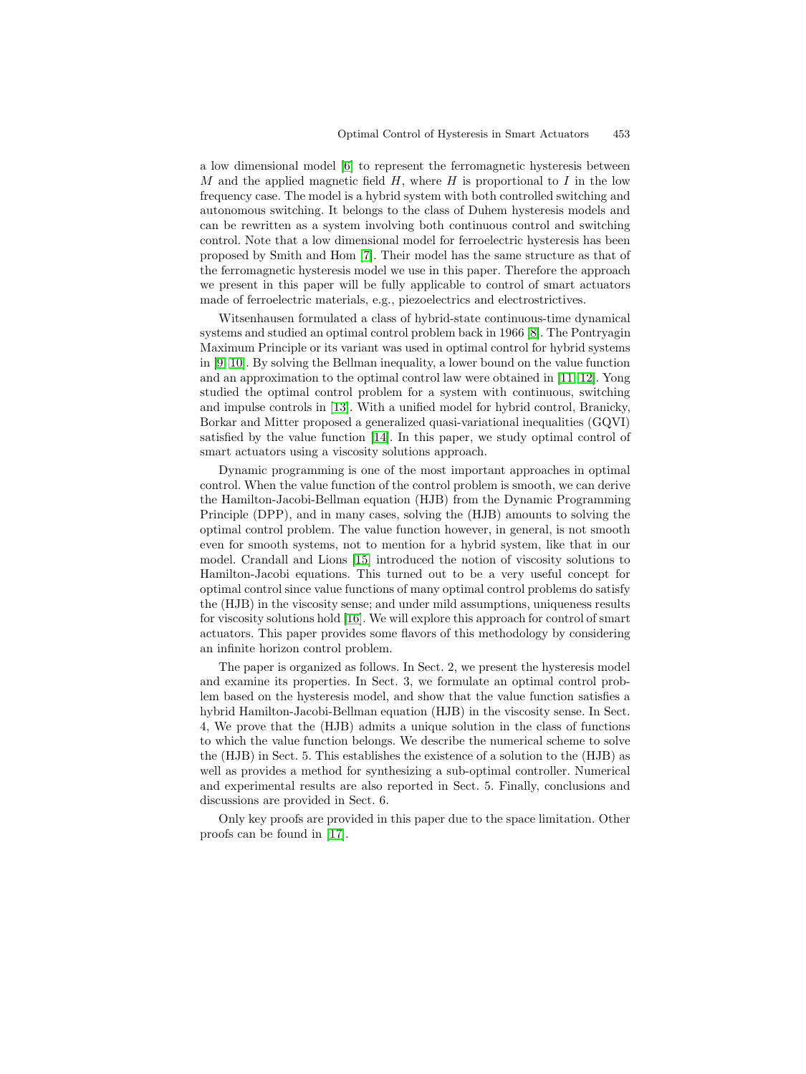a low dimensional model [\[6\]](#page-13-2) to represent the ferromagnetic hysteresis between M and the applied magnetic field  $H$ , where  $H$  is proportional to I in the low frequency case. The model is a hybrid system with both controlled switching and autonomous switching. It belongs to the class of Duhem hysteresis models and can be rewritten as a system involving both continuous control and switching control. Note that a low dimensional model for ferroelectric hysteresis has been proposed by Smith and Hom [\[7\]](#page-13-3). Their model has the same structure as that of the ferromagnetic hysteresis model we use in this paper. Therefore the approach we present in this paper will be fully applicable to control of smart actuators made of ferroelectric materials, e.g., piezoelectrics and electrostrictives.

Witsenhausen formulated a class of hybrid-state continuous-time dynamical systems and studied an optimal control problem back in 1966 [\[8\]](#page-13-4). The Pontryagin Maximum Principle or its variant was used in optimal control for hybrid systems in [\[9,](#page-13-5) [10\]](#page-13-6). By solving the Bellman inequality, a lower bound on the value function and an approximation to the optimal control law were obtained in [\[11,](#page-13-7) [12\]](#page-13-8). Yong studied the optimal control problem for a system with continuous, switching and impulse controls in [\[13\]](#page-13-9). With a unified model for hybrid control, Branicky, Borkar and Mitter proposed a generalized quasi-variational inequalities (GQVI) satisfied by the value function [\[14\]](#page-13-10). In this paper, we study optimal control of smart actuators using a viscosity solutions approach.

Dynamic programming is one of the most important approaches in optimal control. When the value function of the control problem is smooth, we can derive the Hamilton-Jacobi-Bellman equation (HJB) from the Dynamic Programming Principle (DPP), and in many cases, solving the (HJB) amounts to solving the optimal control problem. The value function however, in general, is not smooth even for smooth systems, not to mention for a hybrid system, like that in our model. Crandall and Lions [\[15\]](#page-13-11) introduced the notion of viscosity solutions to Hamilton-Jacobi equations. This turned out to be a very useful concept for optimal control since value functions of many optimal control problems do satisfy the (HJB) in the viscosity sense; and under mild assumptions, uniqueness results for viscosity solutions hold [\[16\]](#page-13-12). We will explore this approach for control of smart actuators. This paper provides some flavors of this methodology by considering an infinite horizon control problem.

The paper is organized as follows. In Sect. 2, we present the hysteresis model and examine its properties. In Sect. 3, we formulate an optimal control problem based on the hysteresis model, and show that the value function satisfies a hybrid Hamilton-Jacobi-Bellman equation (HJB) in the viscosity sense. In Sect. 4, We prove that the (HJB) admits a unique solution in the class of functions to which the value function belongs. We describe the numerical scheme to solve the (HJB) in Sect. 5. This establishes the existence of a solution to the (HJB) as well as provides a method for synthesizing a sub-optimal controller. Numerical and experimental results are also reported in Sect. 5. Finally, conclusions and discussions are provided in Sect. 6.

Only key proofs are provided in this paper due to the space limitation. Other proofs can be found in [\[17\]](#page-13-13).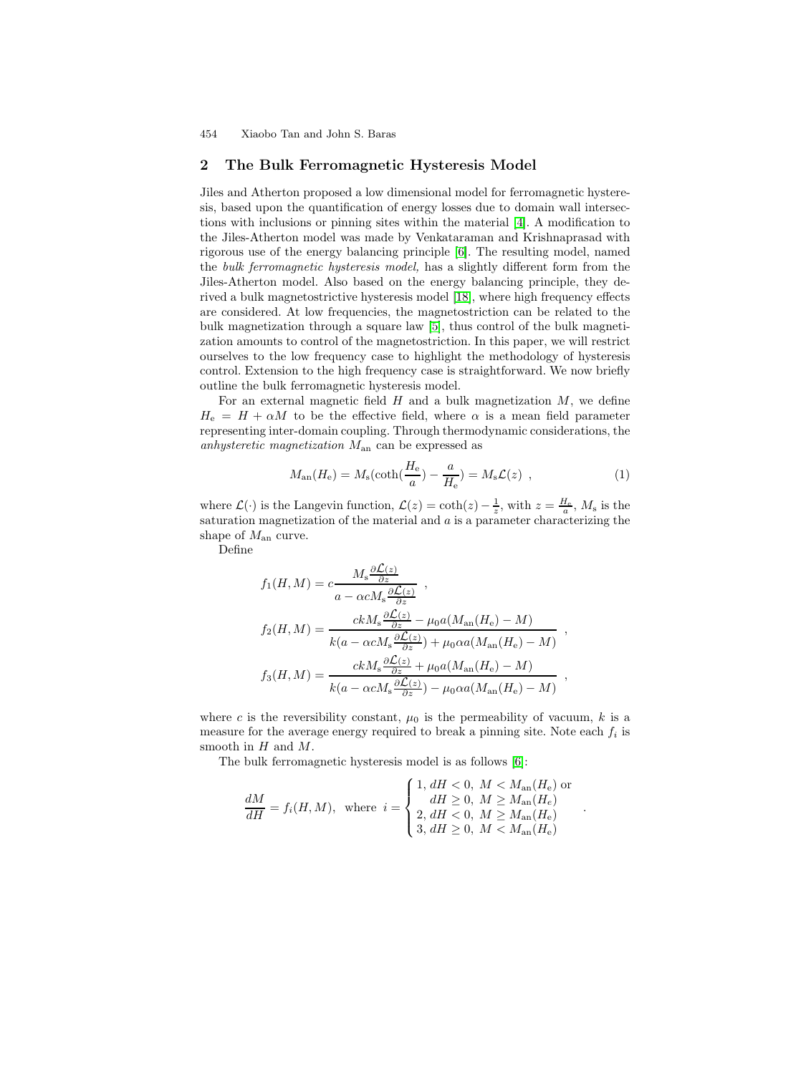## **2 The Bulk Ferromagnetic Hysteresis Model**

Jiles and Atherton proposed a low dimensional model for ferromagnetic hysteresis, based upon the quantification of energy losses due to domain wall intersections with inclusions or pinning sites within the material [\[4\]](#page-12-3). A modification to the Jiles-Atherton model was made by Venkataraman and Krishnaprasad with rigorous use of the energy balancing principle [\[6\]](#page-13-2). The resulting model, named the *bulk ferromagnetic hysteresis model,* has a slightly different form from the Jiles-Atherton model. Also based on the energy balancing principle, they derived a bulk magnetostrictive hysteresis model [\[18\]](#page-13-14), where high frequency effects are considered. At low frequencies, the magnetostriction can be related to the bulk magnetization through a square law [\[5\]](#page-13-1), thus control of the bulk magnetization amounts to control of the magnetostriction. In this paper, we will restrict ourselves to the low frequency case to highlight the methodology of hysteresis control. Extension to the high frequency case is straightforward. We now briefly outline the bulk ferromagnetic hysteresis model.

For an external magnetic field  $H$  and a bulk magnetization  $M$ , we define  $H_e = H + \alpha M$  to be the effective field, where  $\alpha$  is a mean field parameter representing inter-domain coupling. Through thermodynamic considerations, the *anhysteretic magnetization* Man can be expressed as

$$
M_{\rm an}(H_{\rm e}) = M_{\rm s}(\coth(\frac{H_{\rm e}}{a}) - \frac{a}{H_{\rm e}}) = M_{\rm s}\mathcal{L}(z) \quad , \tag{1}
$$

where  $\mathcal{L}(\cdot)$  is the Langevin function,  $\mathcal{L}(z) = \coth(z) - \frac{1}{z}$ , with  $z = \frac{H_e}{a}$ ,  $M_s$  is the saturation magnetization of the material and  $a$  is a parameter characterizing the shape of  $M_{\rm an}$  curve.

Define

$$
f_1(H, M) = c \frac{M_s \frac{\partial \mathcal{L}(z)}{\partial z}}{a - \alpha c M_s \frac{\partial \mathcal{L}(z)}{\partial z}},
$$
  
\n
$$
f_2(H, M) = \frac{ck M_s \frac{\partial \mathcal{L}(z)}{\partial z} - \mu_0 a (M_{an}(H_e) - M)}{k (a - \alpha c M_s \frac{\partial \mathcal{L}(z)}{\partial z}) + \mu_0 \alpha a (M_{an}(H_e) - M)},
$$
  
\n
$$
f_3(H, M) = \frac{ck M_s \frac{\partial \mathcal{L}(z)}{\partial z}}{k (a - \alpha c M_s \frac{\partial \mathcal{L}(z)}{\partial z}) - \mu_0 \alpha a (M_{an}(H_e) - M)},
$$

<span id="page-3-0"></span>where c is the reversibility constant,  $\mu_0$  is the permeability of vacuum, k is a measure for the average energy required to break a pinning site. Note each  $f_i$  is smooth in  $H$  and  $M$ .

The bulk ferromagnetic hysteresis model is as follows [\[6\]](#page-13-2):

$$
\frac{dM}{dH} = f_i(H, M), \text{ where } i = \begin{cases} 1, dH < 0, M < M_{\text{an}}(H_e) \text{ or } \\ dH \ge 0, M \ge M_{\text{an}}(H_e) \\ 2, dH < 0, M \ge M_{\text{an}}(H_e) \\ 3, dH \ge 0, M < M_{\text{an}}(H_e) \end{cases}
$$

.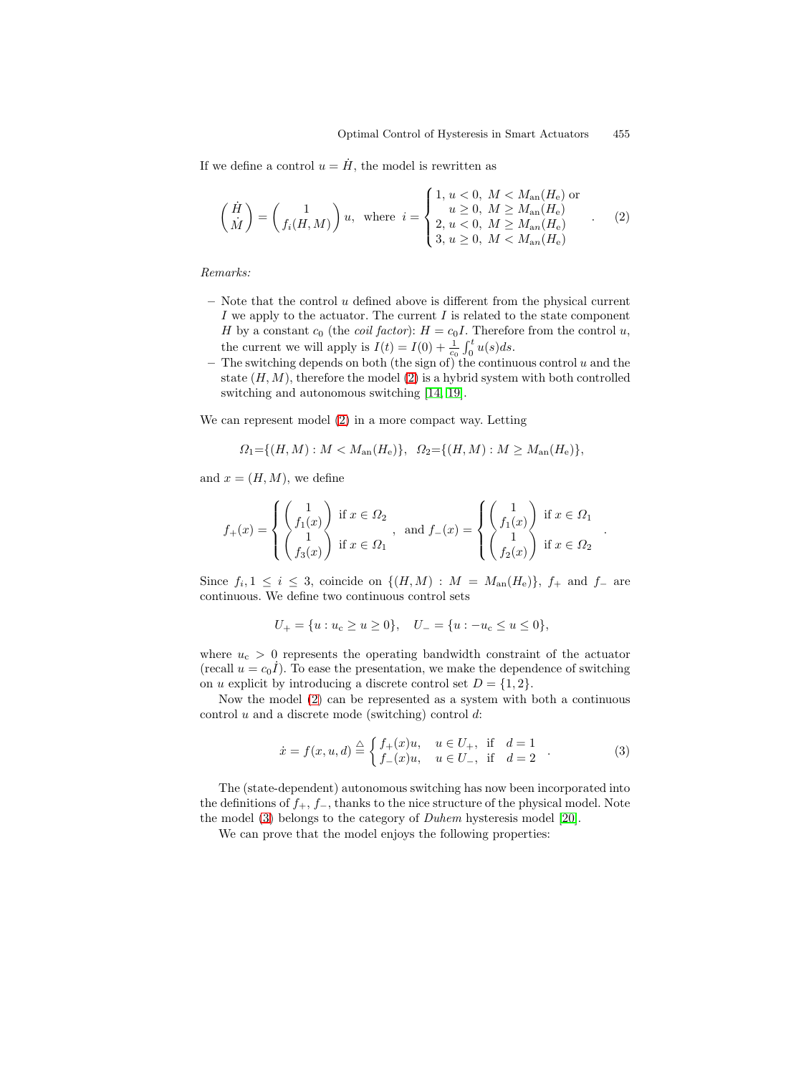If we define a control  $u = \dot{H}$ , the model is rewritten as

$$
\begin{pmatrix} \dot{H} \\ \dot{M} \end{pmatrix} = \begin{pmatrix} 1 \\ f_i(H, M) \end{pmatrix} u, \text{ where } i = \begin{cases} 1, u < 0, M < M_{\text{an}}(H_e) \text{ or } \\ u \ge 0, M \ge M_{\text{an}}(H_e) \\ 2, u < 0, M \ge M_{\text{an}}(H_e) \\ 3, u \ge 0, M < M_{\text{an}}(H_e) \end{cases} (2)
$$

#### *Remarks:*

- **–** Note that the control u defined above is different from the physical current I we apply to the actuator. The current  $I$  is related to the state component H by a constant  $c_0$  (the *coil factor*):  $H = c_0 I$ . Therefore from the control u, the current we will apply is  $I(t) = I(0) + \frac{1}{c_0} \int_0^t u(s) ds$ .
- The switching depends on both (the sign of) the continuous control u and the state  $(H, M)$ , therefore the model  $(2)$  is a hybrid system with both controlled switching and autonomous switching [\[14,](#page-13-10) [19\]](#page-13-15).

We can represent model [\(2\)](#page-3-0) in a more compact way. Letting

$$
\Omega_1 = \{(H, M) : M < M_{\text{an}}(H_e)\}, \quad \Omega_2 = \{(H, M) : M \ge M_{\text{an}}(H_e)\},
$$

and  $x = (H, M)$ , we define

$$
f_+(x)=\left\{\begin{pmatrix}1\\f_1(x)\\f_3(x)\end{pmatrix} \text{ if } x\in\varOmega_2\\ f_3(x)\end{pmatrix}, \text{ and } f_-(x)=\left\{\begin{pmatrix}1\\f_1(x)\\f_2(x)\end{pmatrix} \text{ if } x\in\varOmega_2\end{pmatrix}\right.
$$

Since  $f_i, 1 \leq i \leq 3$ , coincide on  $\{(H, M) : M = M_{an}(H_e)\}\$ ,  $f_+$  and  $f_-$  are continuous. We define two continuous control sets

$$
U_{+} = \{u : u_{c} \ge u \ge 0\}, \quad U_{-} = \{u : -u_{c} \le u \le 0\},\
$$

where  $u_c > 0$  represents the operating bandwidth constraint of the actuator (recall  $u = c_0 \dot{I}$ ). To ease the presentation, we make the dependence of switching on u explicit by introducing a discrete control set  $D = \{1, 2\}.$ 

Now the model [\(2\)](#page-3-0) can be represented as a system with both a continuous control  $u$  and a discrete mode (switching) control  $d$ :

<span id="page-4-0"></span>
$$
\dot{x} = f(x, u, d) \stackrel{\triangle}{=} \begin{cases} f_{+}(x)u, & u \in U_{+}, \text{ if } d = 1 \\ f_{-}(x)u, & u \in U_{-}, \text{ if } d = 2 \end{cases} . \tag{3}
$$

.

The (state-dependent) autonomous switching has now been incorporated into the definitions of  $f_+, f_-,$  thanks to the nice structure of the physical model. Note the model [\(3\)](#page-4-0) belongs to the category of *Duhem* hysteresis model [\[20\]](#page-13-16).

We can prove that the model enjoys the following properties: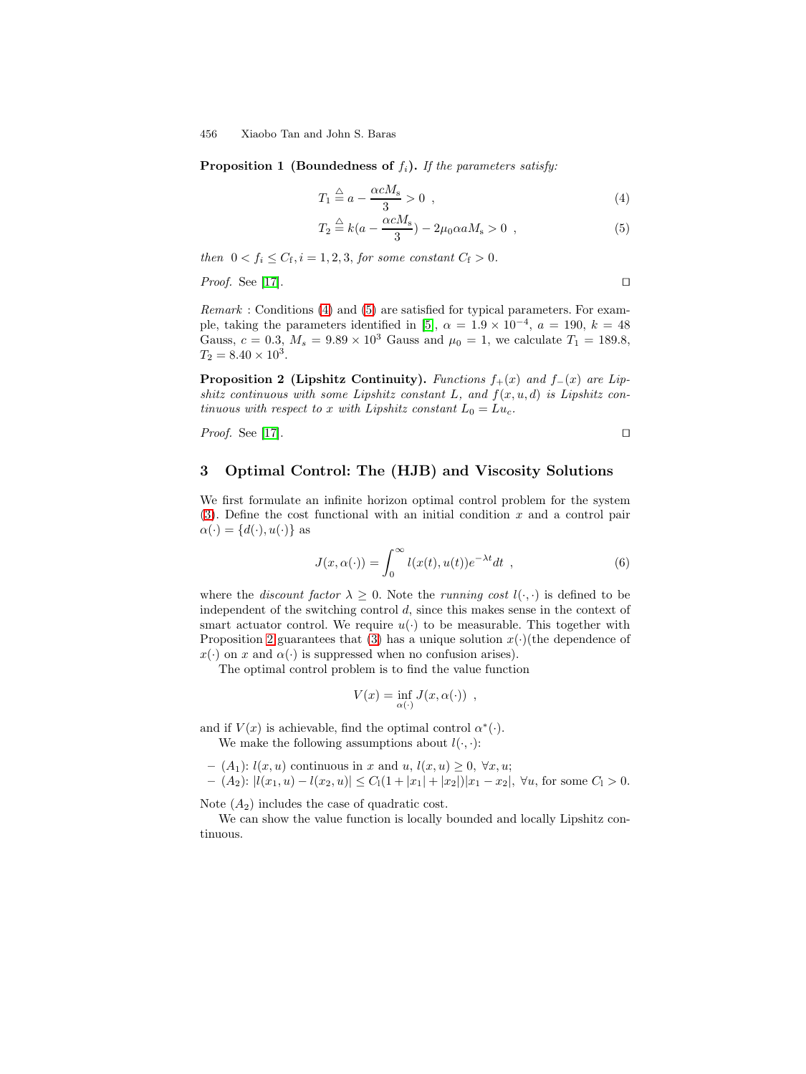**Proposition 1 (Boundedness of**  $f_i$ **).** *If the parameters satisfy:* 

$$
T_1 \stackrel{\triangle}{=} a - \frac{\alpha c M_s}{3} > 0 \quad , \tag{4}
$$

$$
T_2 \stackrel{\triangle}{=} k(a - \frac{\alpha c M_s}{3}) - 2\mu_0 \alpha a M_s > 0 \quad , \tag{5}
$$

<span id="page-5-0"></span>*then*  $0 < f_i \leq C_f, i = 1, 2, 3$ , *for some constant*  $C_f > 0$ .

*Proof.* See [\[17\]](#page-13-13). 

 $\Box$ 

*Remark* : Conditions [\(4\)](#page-5-0) and [\(5\)](#page-5-0) are satisfied for typical parameters. For exam-ple, taking the parameters identified in [\[5\]](#page-13-1),  $\alpha = 1.9 \times 10^{-4}$ ,  $a = 190$ ,  $k = 48$ Gauss,  $c = 0.3$ ,  $M_s = 9.89 \times 10^3$  Gauss and  $\mu_0 = 1$ , we calculate  $T_1 = 189.8$ ,  $T_2 = 8.40 \times 10^3$ .

<span id="page-5-1"></span>**Proposition 2 (Lipshitz Continuity).** *Functions*  $f_{+}(x)$  *and*  $f_{-}(x)$  *are Lip*shitz continuous with some Lipshitz constant L, and  $f(x, u, d)$  is Lipshitz con*tinuous with respect to* x *with Lipshitz constant*  $L_0 = L u_c$ .

*Proof.* See [\[17\]](#page-13-13). 

 $\Box$ 

# **3 Optimal Control: The (HJB) and Viscosity Solutions**

We first formulate an infinite horizon optimal control problem for the system  $(3)$ . Define the cost functional with an initial condition x and a control pair  $\alpha(\cdot) = \{d(\cdot), u(\cdot)\}\;$ as

$$
J(x, \alpha(\cdot)) = \int_0^\infty l(x(t), u(t)) e^{-\lambda t} dt , \qquad (6)
$$

where the *discount factor*  $\lambda \geq 0$ . Note the *running cost*  $l(\cdot, \cdot)$  is defined to be independent of the switching control  $d$ , since this makes sense in the context of smart actuator control. We require  $u(\cdot)$  to be measurable. This together with Proposition [2](#page-5-1) guarantees that [\(3\)](#page-4-0) has a unique solution  $x(\cdot)$  (the dependence of  $x(\cdot)$  on x and  $\alpha(\cdot)$  is suppressed when no confusion arises).

The optimal control problem is to find the value function

$$
V(x) = \inf_{\alpha(\cdot)} J(x, \alpha(\cdot)) ,
$$

and if  $V(x)$  is achievable, find the optimal control  $\alpha^*(\cdot)$ .

We make the following assumptions about  $l(\cdot, \cdot)$ :

- $-$  (A<sub>1</sub>): *l*(*x*, *u*) continuous in *x* and *u*, *l*(*x*, *u*) ≥ 0, ∀*x*, *u*;
- **–** (A<sub>2</sub>):  $|l(x_1, u) l(x_2, u)|$  ≤ C<sub>1</sub>(1 + |x<sub>1</sub>| + |x<sub>2</sub>|)|x<sub>1</sub> − x<sub>2</sub>|, ∀u, for some C<sub>1</sub> > 0.

Note  $(A_2)$  includes the case of quadratic cost.

We can show the value function is locally bounded and locally Lipshitz continuous.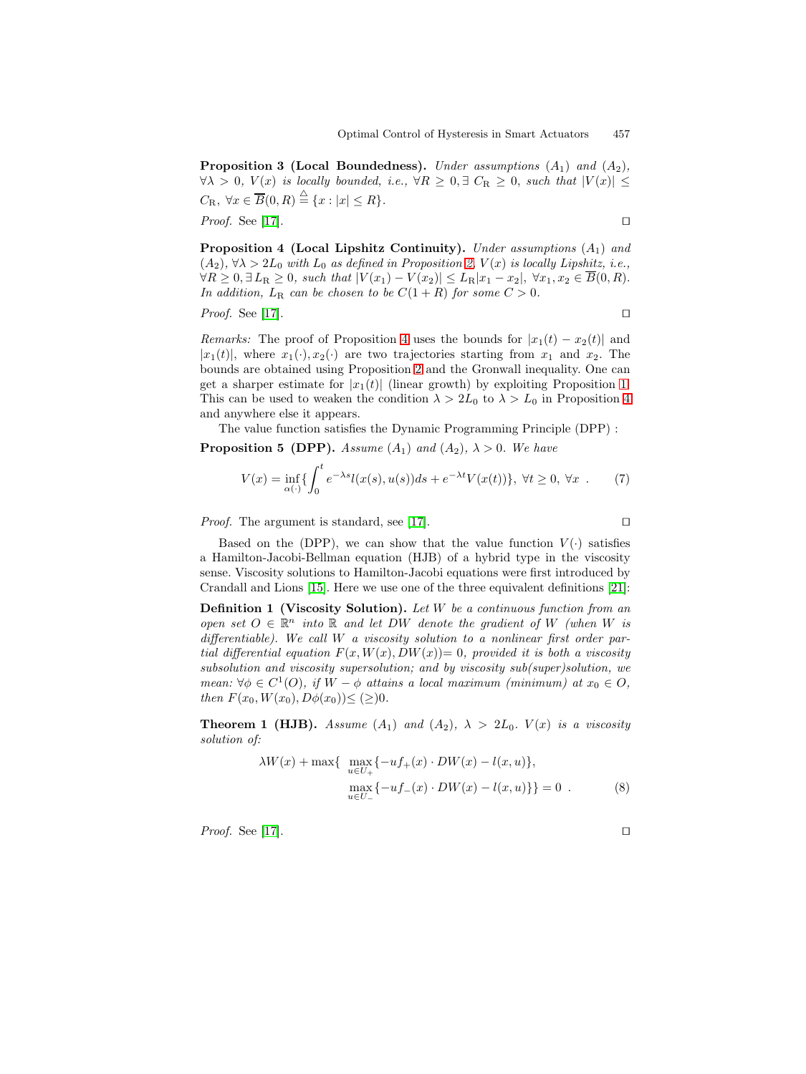**Proposition 3 (Local Boundedness).** *Under assumptions* (A1) *and* (A2)*,*  $\forall \lambda > 0, V(x)$  *is locally bounded, i.e.,*  $\forall R \geq 0, \exists C_R \geq 0$ *, such that*  $|V(x)| \leq$  $C_{\rm R}$ ,  $\forall x \in \overline{B}(0,R) \stackrel{\triangle}{=} \{x : |x| \leq R\}.$ 

*Proof.* See [\[17\]](#page-13-13). 

<span id="page-6-0"></span>**Proposition 4 (Local Lipshitz Continuity).** *Under assumptions* (A1) *and*  $(A_2)$ ,  $\forall \lambda > 2L_0$  *with*  $L_0$  *as defined in Proposition [2,](#page-5-1) V(x) is locally Lipshitz, i.e.,*  $\forall R \geq 0, \exists L_R \geq 0$ , such that  $|V(x_1) - V(x_2)| \leq L_R |x_1 - x_2|, \ \forall x_1, x_2 \in \overline{B}(0,R)$ . *In addition,*  $L_R$  *can be chosen to be*  $C(1+R)$  *for some*  $C > 0$ *.* 

*Proof.* See [\[17\]](#page-13-13).  $\Box$ 

*Remarks:* The proof of Proposition [4](#page-6-0) uses the bounds for  $|x_1(t) - x_2(t)|$  and  $|x_1(t)|$ , where  $x_1(\cdot), x_2(\cdot)$  are two trajectories starting from  $x_1$  and  $x_2$ . The bounds are obtained using Proposition [2](#page-5-1) and the Gronwall inequality. One can get a sharper estimate for  $|x_1(t)|$  (linear growth) by exploiting Proposition [1.](#page-5-0) This can be used to weaken the condition  $\lambda > 2L_0$  to  $\lambda > L_0$  in Proposition [4](#page-6-0) and anywhere else it appears.

The value function satisfies the Dynamic Programming Principle (DPP) :

**Proposition 5 (DPP).** *Assume*  $(A_1)$  *and*  $(A_2)$ *,*  $\lambda > 0$ *. We have* 

$$
V(x) = \inf_{\alpha(\cdot)} \{ \int_0^t e^{-\lambda s} l(x(s), u(s)) ds + e^{-\lambda t} V(x(t)) \}, \ \forall t \ge 0, \ \forall x \ . \tag{7}
$$

*Proof.* The argument is standard, see [\[17\]](#page-13-13).

 $\Box$ 

 $\Box$ 

Based on the (DPP), we can show that the value function  $V(\cdot)$  satisfies a Hamilton-Jacobi-Bellman equation (HJB) of a hybrid type in the viscosity sense. Viscosity solutions to Hamilton-Jacobi equations were first introduced by Crandall and Lions [\[15\]](#page-13-11). Here we use one of the three equivalent definitions [\[21\]](#page-13-17):

**Definition 1 (Viscosity Solution).** *Let* W *be a continuous function from an open set*  $O \in \mathbb{R}^n$  *into*  $\mathbb R$  *and let* DW *denote the gradient of* W *(when* W *is differentiable). We call* W *a viscosity solution to a nonlinear first order partial differential equation*  $F(x, W(x), DW(x))=0$ , provided it is both a viscosity *subsolution and viscosity supersolution; and by viscosity sub(super)solution, we mean:*  $\forall \phi \in C^1(O)$ , if  $W - \phi$  *attains a local maximum (minimum) at*  $x_0 \in O$ , *then*  $F(x_0, W(x_0), D\phi(x_0)) \leq (\geq) 0$ .

**Theorem 1 (HJB).** Assume  $(A_1)$  and  $(A_2)$ ,  $\lambda > 2L_0$ .  $V(x)$  is a viscosity *solution of:*

$$
\lambda W(x) + \max \{ \max_{u \in U_+} \{ -uf_+(x) \cdot DW(x) - l(x, u) \}, \max_{u \in U_-} \{ -uf_-(x) \cdot DW(x) - l(x, u) \} \} = 0 .
$$
\n(8)

<span id="page-6-1"></span>*Proof.* See [\[17\]](#page-13-13). □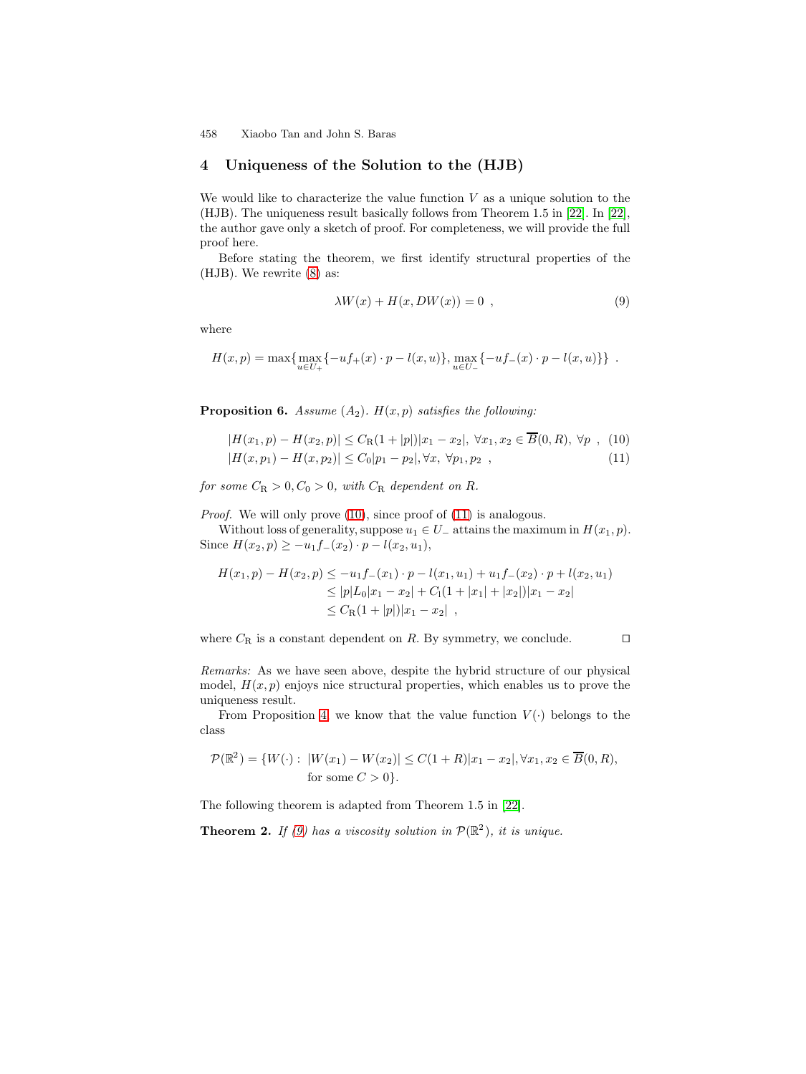## **4 Uniqueness of the Solution to the (HJB)**

We would like to characterize the value function  $V$  as a unique solution to the (HJB). The uniqueness result basically follows from Theorem 1.5 in [\[22\]](#page-13-18). In [\[22\]](#page-13-18), the author gave only a sketch of proof. For completeness, we will provide the full proof here.

Before stating the theorem, we first identify structural properties of the (HJB). We rewrite [\(8\)](#page-6-1) as:

<span id="page-7-1"></span>
$$
\lambda W(x) + H(x, DW(x)) = 0 \tag{9}
$$

where

$$
H(x,p) = \max\{\max_{u\in U_+} \{-u f_+(x)\cdot p - l(x,u)\}, \max_{u\in U_-} \{-u f_-(x)\cdot p - l(x,u)\}\}~~.
$$

**Proposition 6.** *Assume*  $(A_2)$ *.*  $H(x, p)$  *satisfies the following:* 

$$
|H(x_1, p) - H(x_2, p)| \le C_R (1 + |p|)|x_1 - x_2|, \forall x_1, x_2 \in \overline{B}(0, R), \forall p \tag{10}
$$
  

$$
|H(x, p_1) - H(x, p_2)| \le C_0|p_1 - p_2|, \forall x, \forall p_1, p_2,
$$
 (11)

<span id="page-7-0"></span>*for some*  $C_R > 0, C_0 > 0$ *, with*  $C_R$  *dependent on* R.

*Proof.* We will only prove [\(10\)](#page-7-0), since proof of [\(11\)](#page-7-0) is analogous.

Without loss of generality, suppose  $u_1 \in U_-\$ attains the maximum in  $H(x_1, p)$ . Since  $H(x_2, p) \ge -u_1 f_-(x_2) \cdot p - l(x_2, u_1),$ 

$$
H(x_1, p) - H(x_2, p) \le -u_1 f_-(x_1) \cdot p - l(x_1, u_1) + u_1 f_-(x_2) \cdot p + l(x_2, u_1)
$$
  
\n
$$
\le |p|L_0|x_1 - x_2| + C_1(1 + |x_1| + |x_2|)|x_1 - x_2|
$$
  
\n
$$
\le C_R(1 + |p|)|x_1 - x_2|,
$$

where  $C_{\rm R}$  is a constant dependent on R. By symmetry, we conclude.  $\Box$ 

*Remarks:* As we have seen above, despite the hybrid structure of our physical model,  $H(x, p)$  enjoys nice structural properties, which enables us to prove the uniqueness result.

From Proposition [4,](#page-6-0) we know that the value function  $V(\cdot)$  belongs to the class

<span id="page-7-2"></span>
$$
\mathcal{P}(\mathbb{R}^2) = \{W(\cdot): |W(x_1) - W(x_2)| \le C(1+R)|x_1 - x_2|, \forall x_1, x_2 \in \overline{B}(0, R),
$$
  
for some  $C > 0\}.$ 

The following theorem is adapted from Theorem 1.5 in [\[22\]](#page-13-18).

**Theorem 2.** *If [\(9\)](#page-7-1)* has a viscosity solution in  $\mathcal{P}(\mathbb{R}^2)$ , it is unique.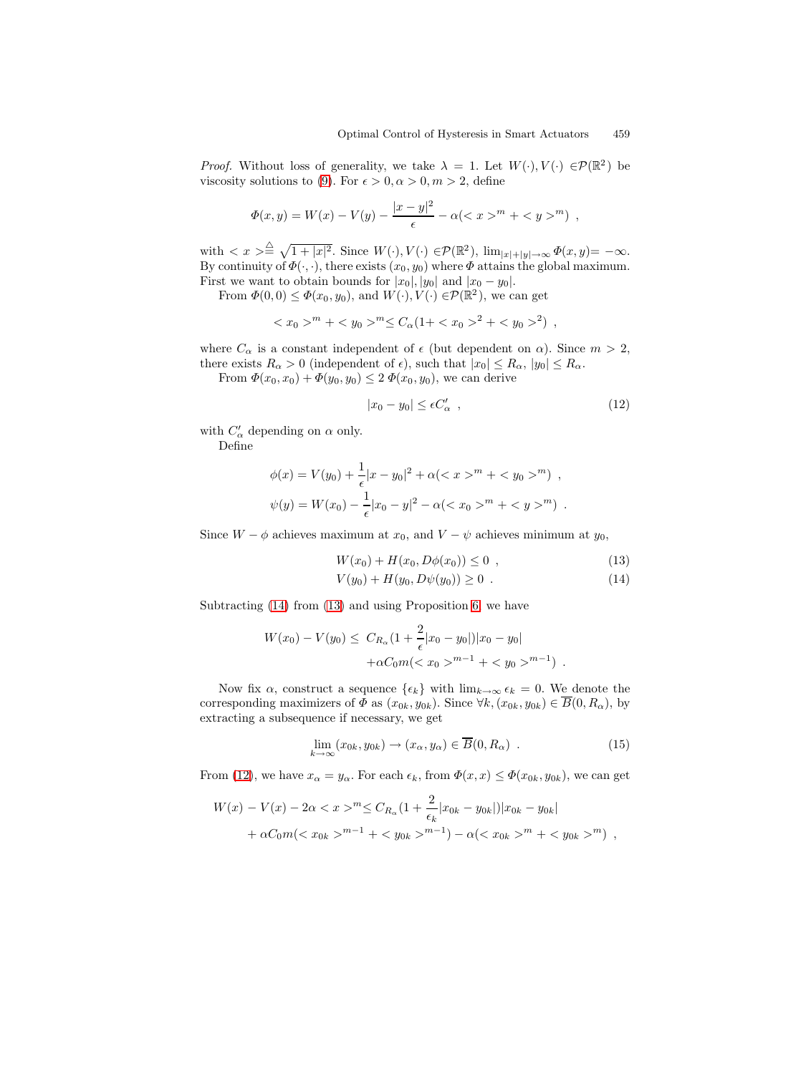*Proof.* Without loss of generality, we take  $\lambda = 1$ . Let  $W(\cdot), V(\cdot) \in \mathcal{P}(\mathbb{R}^2)$  be viscosity solutions to [\(9\)](#page-7-1). For  $\epsilon > 0, \alpha > 0, m > 2$ , define

$$
\Phi(x, y) = W(x) - V(y) - \frac{|x - y|^2}{\epsilon} - \alpha \left( \langle x \rangle^m + \langle y \rangle^m \right) ,
$$

with  $\langle x \rangle \stackrel{\triangle}{=} \sqrt{1+|x|^2}$ . Since  $W(\cdot), V(\cdot) \in \mathcal{P}(\mathbb{R}^2)$ ,  $\lim_{|x|+|y| \to \infty} \Phi(x, y) = -\infty$ . By continuity of  $\Phi(\cdot, \cdot)$ , there exists  $(x_0, y_0)$  where  $\Phi$  attains the global maximum. First we want to obtain bounds for  $|x_0|, |y_0|$  and  $|x_0 - y_0|$ .

From  $\Phi(0,0) \leq \Phi(x_0, y_0)$ , and  $W(\cdot), V(\cdot) \in \mathcal{P}(\mathbb{R}^2)$ , we can get

$$
\langle x_0 \rangle^m + \langle y_0 \rangle^m \le C_\alpha (1 + \langle x_0 \rangle^2 + \langle y_0 \rangle^2) ,
$$

where  $C_{\alpha}$  is a constant independent of  $\epsilon$  (but dependent on  $\alpha$ ). Since  $m > 2$ , there exists  $R_{\alpha} > 0$  (independent of  $\epsilon$ ), such that  $|x_0| \le R_{\alpha}$ ,  $|y_0| \le R_{\alpha}$ .

From  $\Phi(x_0, x_0) + \Phi(y_0, y_0) \leq 2 \Phi(x_0, y_0)$ , we can derive

<span id="page-8-1"></span>
$$
|x_0 - y_0| \le \epsilon C'_\alpha \quad , \tag{12}
$$

with  $C'_\alpha$  depending on  $\alpha$  only.

Define

$$
\phi(x) = V(y_0) + \frac{1}{\epsilon}|x - y_0|^2 + \alpha \langle x \rangle^m + \langle y_0 \rangle^m),
$$
  

$$
\psi(y) = W(x_0) - \frac{1}{\epsilon}|x_0 - y|^2 - \alpha \langle x_0 \rangle^m + \langle y \rangle^m).
$$

Since  $W - \phi$  achieves maximum at  $x_0$ , and  $V - \psi$  achieves minimum at  $y_0$ ,

$$
W(x_0) + H(x_0, D\phi(x_0)) \le 0 , \qquad (13)
$$

$$
V(y_0) + H(y_0, D\psi(y_0)) \ge 0 . \tag{14}
$$

<span id="page-8-0"></span>Subtracting [\(14\)](#page-8-0) from [\(13\)](#page-8-0) and using Proposition [6,](#page-7-0) we have

$$
W(x_0) - V(y_0) \le C_{R_\alpha} (1 + \frac{2}{\epsilon} |x_0 - y_0|) |x_0 - y_0|
$$
  
+ $\alpha C_0 m (< x_0 >^{m-1} + < y_0 >^{m-1})$ .

Now fix  $\alpha$ , construct a sequence  $\{\epsilon_k\}$  with  $\lim_{k\to\infty} \epsilon_k = 0$ . We denote the corresponding maximizers of  $\Phi$  as  $(x_{0k}, y_{0k})$ . Since  $\forall k, (x_{0k}, y_{0k}) \in \overline{B}(0, R_\alpha)$ , by extracting a subsequence if necessary, we get

$$
\lim_{k \to \infty} (x_{0k}, y_{0k}) \to (x_{\alpha}, y_{\alpha}) \in \overline{B}(0, R_{\alpha})
$$
\n(15)

From [\(12\)](#page-8-1), we have  $x_{\alpha} = y_{\alpha}$ . For each  $\epsilon_k$ , from  $\Phi(x, x) \leq \Phi(x_{0k}, y_{0k})$ , we can get

$$
W(x) - V(x) - 2\alpha < x >^m \leq C_{R_\alpha} \left( 1 + \frac{2}{\epsilon_k} |x_{0k} - y_{0k}| \right) |x_{0k} - y_{0k}|
$$
\n
$$
+ \alpha C_0 m < x_{0k} >^{m-1} + \langle y_{0k} >^{m-1} \rangle - \alpha < x_{0k} >^m + \langle y_{0k} >^m \rangle,
$$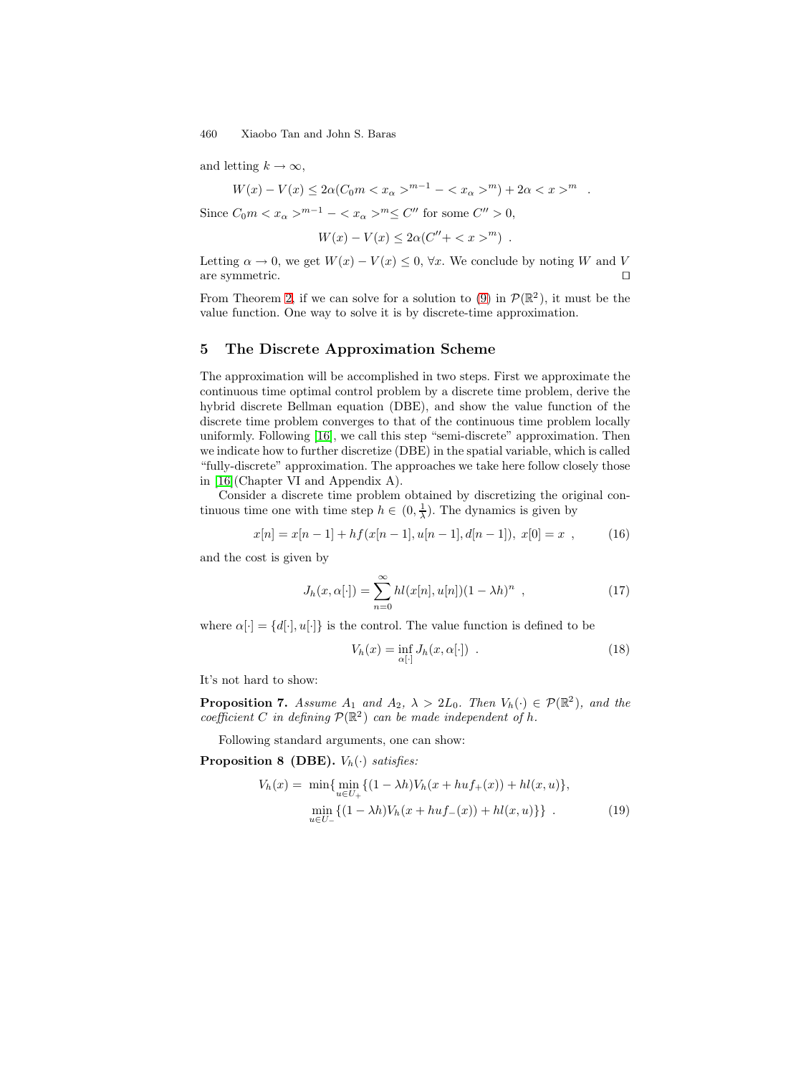and letting  $k \to \infty$ ,

$$
W(x) - V(x) \le 2\alpha (C_0 m < x_\alpha >^{m-1} - \langle x_\alpha >^m \rangle + 2\alpha < x >^m .
$$

Since  $C_0 m < x_\alpha >^{m-1} - \langle x_\alpha >^m \le C''$  for some  $C'' > 0$ ,

 $W(x) - V(x) \leq 2\alpha (C'' + \langle x \rangle^m)$ .

Letting  $\alpha \to 0$ , we get  $W(x) - V(x) \leq 0$ ,  $\forall x$ . We conclude by noting W and V are symmetric.  $\Box$ 

From Theorem [2,](#page-7-2) if we can solve for a solution to [\(9\)](#page-7-1) in  $\mathcal{P}(\mathbb{R}^2)$ , it must be the value function. One way to solve it is by discrete-time approximation.

#### **5 The Discrete Approximation Scheme**

The approximation will be accomplished in two steps. First we approximate the continuous time optimal control problem by a discrete time problem, derive the hybrid discrete Bellman equation (DBE), and show the value function of the discrete time problem converges to that of the continuous time problem locally uniformly. Following [\[16\]](#page-13-12), we call this step "semi-discrete" approximation. Then we indicate how to further discretize (DBE) in the spatial variable, which is called "fully-discrete" approximation. The approaches we take here follow closely those in [\[16\]](#page-13-12)(Chapter VI and Appendix A).

Consider a discrete time problem obtained by discretizing the original continuous time one with time step  $h \in (0, \frac{1}{\lambda})$ . The dynamics is given by

$$
x[n] = x[n-1] + h f(x[n-1], u[n-1], d[n-1]), \ x[0] = x \ , \qquad (16)
$$

and the cost is given by

$$
J_h(x, \alpha[\cdot]) = \sum_{n=0}^{\infty} h l(x[n], u[n]) (1 - \lambda h)^n , \qquad (17)
$$

where  $\alpha[\cdot] = \{d[\cdot], u[\cdot]\}$  is the control. The value function is defined to be

$$
V_h(x) = \inf_{\alpha[\cdot]} J_h(x, \alpha[\cdot]) \tag{18}
$$

It's not hard to show:

**Proposition 7.** *Assume*  $A_1$  *and*  $A_2$ ,  $\lambda > 2L_0$ *. Then*  $V_h(\cdot) \in \mathcal{P}(\mathbb{R}^2)$ *, and the coefficient* C *in defining*  $\mathcal{P}(\mathbb{R}^2)$  *can be made independent of h.* 

Following standard arguments, one can show:

<span id="page-9-0"></span>**Proposition 8 (DBE).** Vh(·) *satisfies:*

$$
V_h(x) = \min\{\min_{u \in U_+} \{(1 - \lambda h)V_h(x + hu f_+(x)) + hl(x, u)\},\
$$

$$
\min_{u \in U_-} \{(1 - \lambda h)V_h(x + hu f_-(x)) + hl(x, u)\}\}.
$$
(19)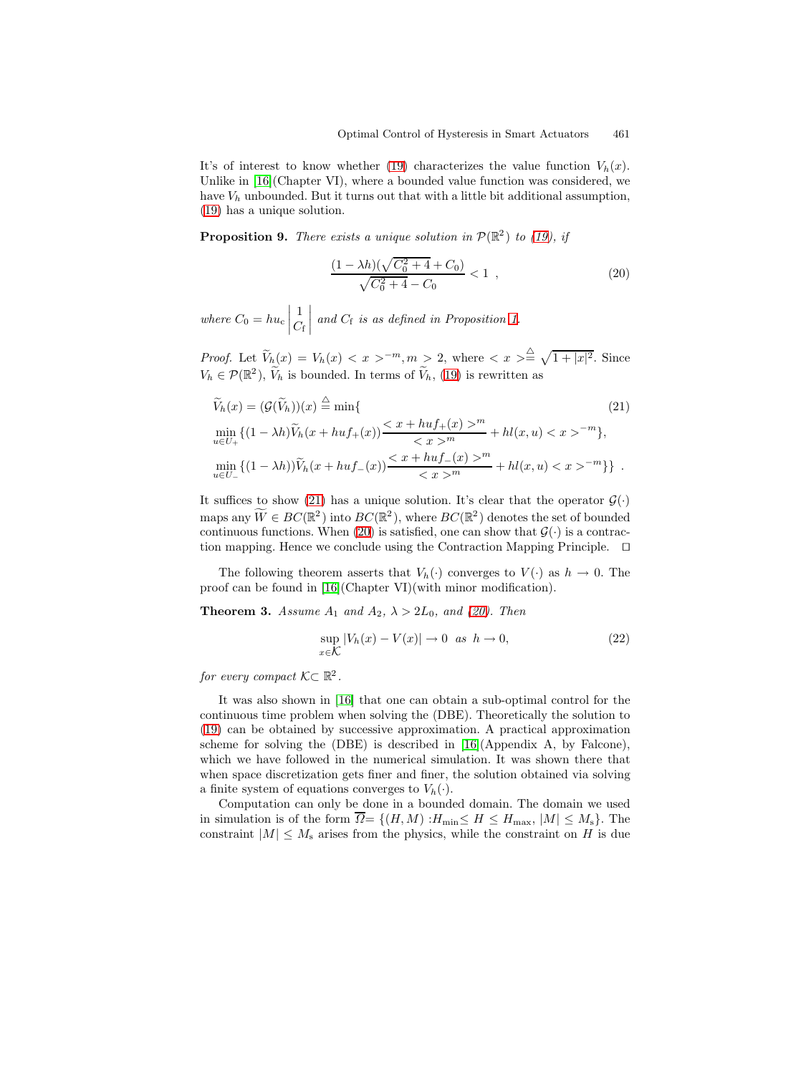It's of interest to know whether [\(19\)](#page-9-0) characterizes the value function  $V_h(x)$ . Unlike in [\[16\]](#page-13-12)(Chapter VI), where a bounded value function was considered, we have  $V_h$  unbounded. But it turns out that with a little bit additional assumption, [\(19\)](#page-9-0) has a unique solution.

**Proposition 9.** *There exists a unique solution in*  $\mathcal{P}(\mathbb{R}^2)$  *to [\(19\)](#page-9-0), if* 

<span id="page-10-1"></span>
$$
\frac{(1 - \lambda h)(\sqrt{C_0^2 + 4} + C_0)}{\sqrt{C_0^2 + 4} - C_0} < 1 \tag{20}
$$

*where*  $C_0 = h u_c$ 1  $C_{\rm f}$  *and* C<sup>f</sup> *is as defined in Proposition [1.](#page-5-0)*

*Proof.* Let  $\widetilde{V}_h(x) = V_h(x) < x >^{-m}, m > 2$ , where  $\langle x \rangle \stackrel{\triangle}{=} \sqrt{1 + |x|^2}$ . Since  $V_h \in \mathcal{P}(\mathbb{R}^2)$ ,  $\widetilde{V}_h$  is bounded. In terms of  $\widetilde{V}_h$ , [\(19\)](#page-9-0) is rewritten as

$$
\widetilde{V}_h(x) = (\mathcal{G}(\widetilde{V}_h))(x) \stackrel{\triangle}{=} \min\{ (21) \times \sum_{u \in U_+} \{ (1 - \lambda h)\widetilde{V}_h(x + hu f_+(x)) < x + hu f_+(x) >^m + hl(x, u) < x >^{-m} \},
$$
\n
$$
\min_{u \in U_-} \{ (1 - \lambda h)\widetilde{V}_h(x + hu f_-(x)) < x + hu f_-(x) >^m + hl(x, u) < x >^{-m} \} \}.
$$
\n(21)

<span id="page-10-0"></span>It suffices to show [\(21\)](#page-10-0) has a unique solution. It's clear that the operator  $\mathcal{G}(\cdot)$ maps any  $\widetilde{W} \in BC(\mathbb{R}^2)$  into  $BC(\mathbb{R}^2)$ , where  $BC(\mathbb{R}^2)$  denotes the set of bounded continuous functions. When [\(20\)](#page-10-1) is satisfied, one can show that  $\mathcal{G}(\cdot)$  is a contraction mapping. Hence we conclude using the Contraction Mapping Principle. 

The following theorem asserts that  $V_h(\cdot)$  converges to  $V(\cdot)$  as  $h \to 0$ . The proof can be found in [\[16\]](#page-13-12)(Chapter VI)(with minor modification).

**Theorem 3.** *Assume*  $A_1$  *and*  $A_2$ ,  $\lambda > 2L_0$ *, and* [\(20\)](#page-10-1)*. Then* 

$$
\sup_{x \in \mathcal{K}} |V_h(x) - V(x)| \to 0 \text{ as } h \to 0,
$$
\n(22)

*for every compact*  $K \subset \mathbb{R}^2$ .

It was also shown in [\[16\]](#page-13-12) that one can obtain a sub-optimal control for the continuous time problem when solving the (DBE). Theoretically the solution to [\(19\)](#page-9-0) can be obtained by successive approximation. A practical approximation scheme for solving the (DBE) is described in [\[16\]](#page-13-12)(Appendix A, by Falcone), which we have followed in the numerical simulation. It was shown there that when space discretization gets finer and finer, the solution obtained via solving a finite system of equations converges to  $V_h(\cdot)$ .

Computation can only be done in a bounded domain. The domain we used in simulation is of the form  $\overline{\Omega} = \{(H,M) : H_{\text{min}} \leq H \leq H_{\text{max}}, |M| \leq M_{\text{s}}\}.$  The constraint  $|M| \leq M_s$  arises from the physics, while the constraint on H is due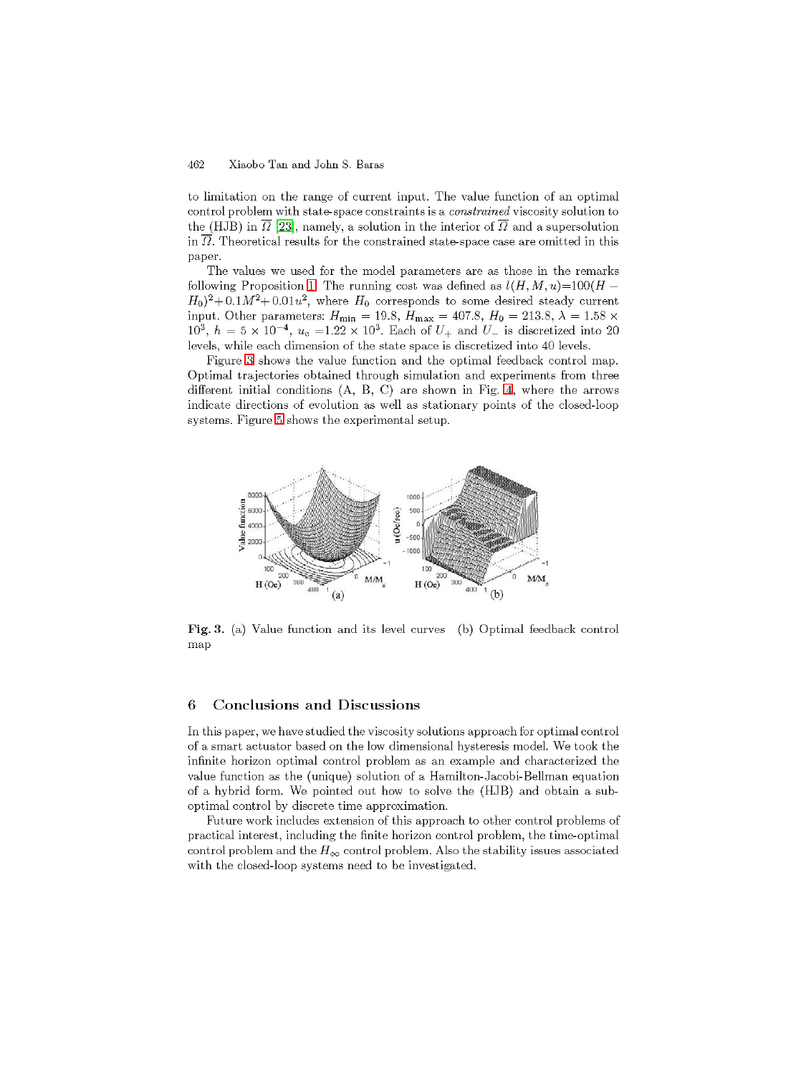to limitation on the range of current input. The value function of an optimal control problem with state-space constraints is a *constrained* viscosity solution to the (HJB) in  $\Omega$  [\[23\]](#page-13-19), namely, a solution in the interior of  $\Omega$  and a supersolution in  $\overline{\Omega}$ . Theoretical results for the constrained state-space case are omitted in this paper.

The values we used for the model parameters are as those in the remarks following Proposition [1.](#page-5-0) The running cost was defined as  $l(H, M, u) = 100(H (H_0)^2+0.1M^2+0.01u^2$ , where  $H_0$  corresponds to some desired steady current input. Other parameters:  $H_{\text{min}} = 19.8, H_{\text{max}} = 407.8, H_0 = 213.8, \lambda = 1.58 \times$  $10^3$ ,  $h = 5 \times 10^{-4}$ ,  $u_c = 1.22 \times 10^3$ . Each of  $U_+$  and  $U_-$  is discretized into 20 levels, while each dimension of the state space is discretized into 40 levels.

Figure [3](#page-11-0) shows the value function and the optimal feedback control map. Optimal trajectories obtained through simulation and experiments from three different initial conditions (A, B, C) are shown in Fig. [4,](#page-12-4) where the arrows indicate directions of evolution as well as stationary points of the closed-loop systems. Figure [5](#page-12-5) shows the experimental setup.



<span id="page-11-0"></span>Fig. 3. (a) Value function and its level curves (b) Optimal feedback control map

#### **6 Conclusions and Discussions**

In this paper, we have studied the viscosity solutions approach for optimal control of a smart actuator based on the low dimensional hysteresis model. We took the infinite horizon optimal control problem as an example and characterized the value function as the (unique) solution of a Hamilton-Jacobi-Bellman equation of a hybrid form. We pointed out how to solve the (HJB) and obtain a suboptimal control by discrete time approximation.

Future work includes extension of this approach to other control problems of practical interest, including the finite horizon control problem, the time-optimal control problem and the  $H_{\infty}$  control problem. Also the stability issues associated with the closed-loop systems need to be investigated.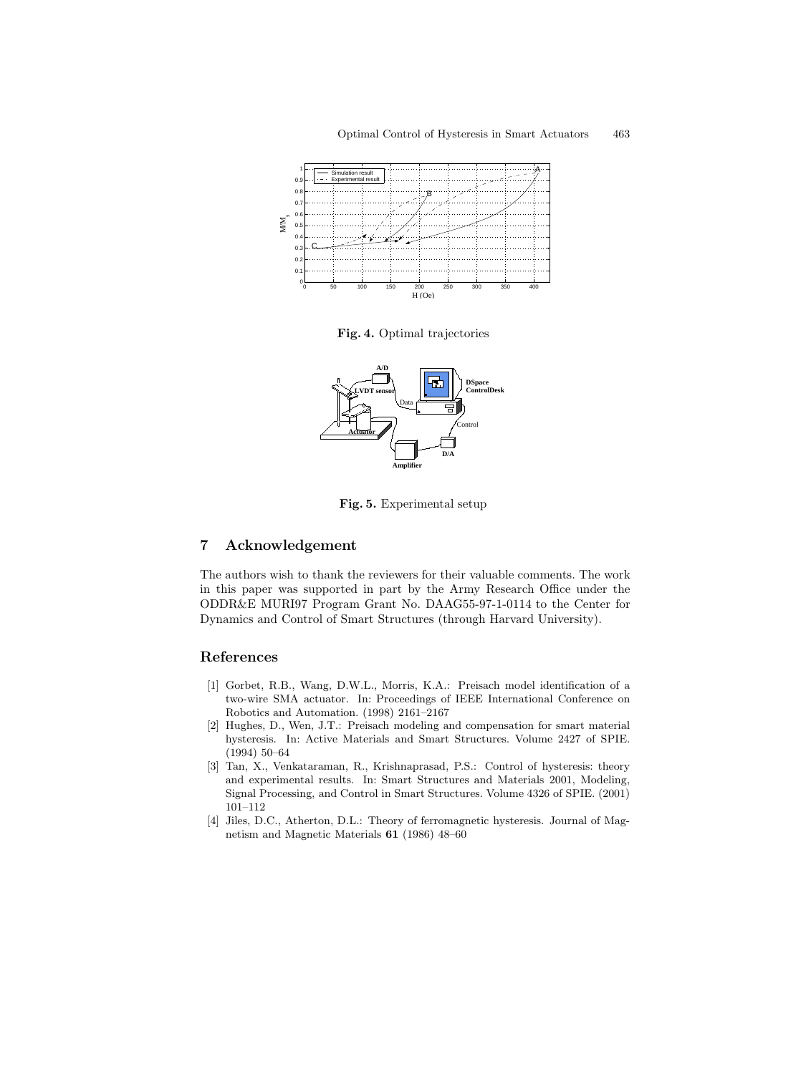

**Fig. 4.** Optimal trajectories

<span id="page-12-4"></span>

**Fig. 5.** Experimental setup

# <span id="page-12-5"></span>**7 Acknowledgement**

The authors wish to thank the reviewers for their valuable comments. The work in this paper was supported in part by the Army Research Office under the ODDR&E MURI97 Program Grant No. DAAG55-97-1-0114 to the Center for Dynamics and Control of Smart Structures (through Harvard University).

### <span id="page-12-0"></span>**References**

- [1] Gorbet, R.B., Wang, D.W.L., Morris, K.A.: Preisach model identification of a two-wire SMA actuator. In: Proceedings of IEEE International Conference on Robotics and Automation. (1998) 2161–2167
- <span id="page-12-1"></span>[2] Hughes, D., Wen, J.T.: Preisach modeling and compensation for smart material hysteresis. In: Active Materials and Smart Structures. Volume 2427 of SPIE. (1994) 50–64
- <span id="page-12-2"></span>[3] Tan, X., Venkataraman, R., Krishnaprasad, P.S.: Control of hysteresis: theory and experimental results. In: Smart Structures and Materials 2001, Modeling, Signal Processing, and Control in Smart Structures. Volume 4326 of SPIE. (2001) 101–112
- <span id="page-12-3"></span>[4] Jiles, D.C., Atherton, D.L.: Theory of ferromagnetic hysteresis. Journal of Magnetism and Magnetic Materials **61** (1986) 48–60